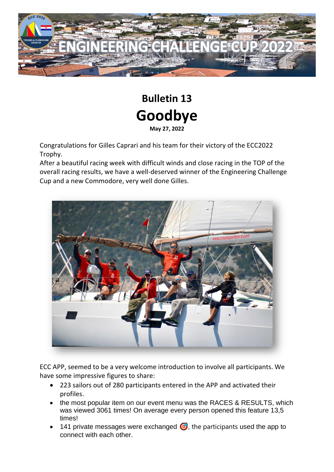

## **Bulletin 13 Goodbye May 27, 2022**

Congratulations for Gilles Caprari and his team for their victory of the ECC2022 Trophy.

After a beautiful racing week with difficult winds and close racing in the TOP of the overall racing results, we have a well-deserved winner of the Engineering Challenge Cup and a new Commodore, very well done Gilles.



ECC APP, seemed to be a very welcome introduction to involve all participants. We have some impressive figures to share:

- 223 sailors out of 280 participants entered in the APP and activated their profiles.
- the most popular item on our event menu was the RACES & RESULTS, which was viewed 3061 times! On average every person opened this feature 13,5 times!
- 141 private messages were exchanged  $\bigcirc$ , the participants used the app to connect with each other.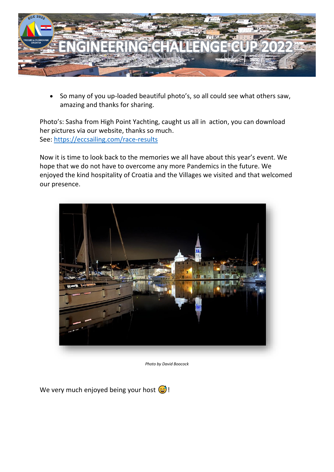

• So many of you up-loaded beautiful photo's, so all could see what others saw, amazing and thanks for sharing.

Photo's: Sasha from High Point Yachting, caught us all in action, you can download her pictures via our website, thanks so much. See: <https://eccsailing.com/race-results>

Now it is time to look back to the memories we all have about this year's event. We hope that we do not have to overcome any more Pandemics in the future. We enjoyed the kind hospitality of Croatia and the Villages we visited and that welcomed our presence.



*Photo by David Boocock*

We very much enjoyed being your host  $\odot$ !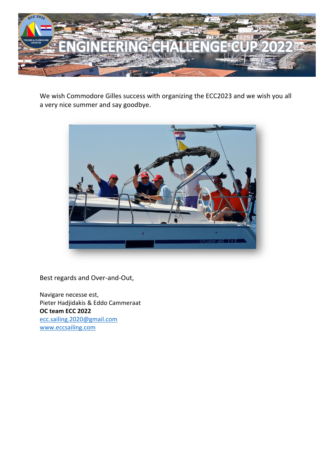

We wish Commodore Gilles success with organizing the ECC2023 and we wish you all a very nice summer and say goodbye.



Best regards and Over-and-Out,

Navigare necesse est, Pieter Hadjidakis & Eddo Cammeraat **OC team ECC 2022** [ecc.sailing.2020@gmail.com](mailto:ecc.sailing.2020@gmail.com) [www.eccsailing.com](http://www.eccsailing.com/)